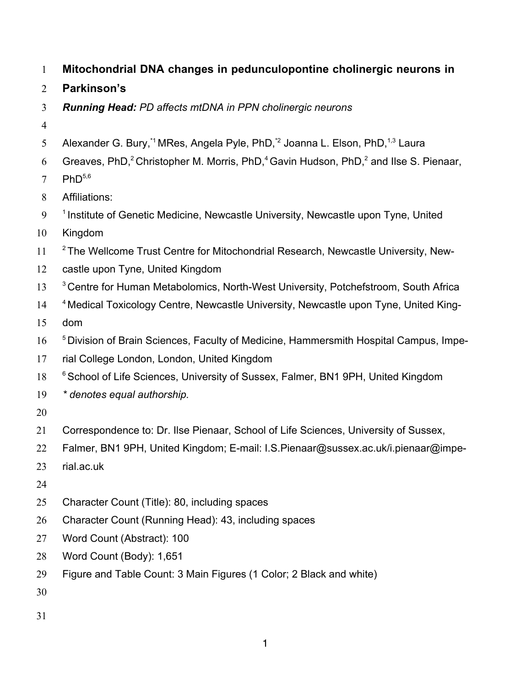- **Mitochondrial DNA changes in pedunculopontine cholinergic neurons in**
- **Parkinson's**
- *Running Head: PD affects mtDNA in PPN cholinergic neurons*
- 
- 5 Alexander G. Bury,<sup>\*1</sup> MRes, Angela Pyle, PhD,<sup>\*2</sup> Joanna L. Elson, PhD,<sup>1,3</sup> Laura
- 6 Greaves, PhD,<sup>2</sup> Christopher M. Morris, PhD,<sup>4</sup> Gavin Hudson, PhD,<sup>2</sup> and Ilse S. Pienaar,
- 7  $PhD<sup>5,6</sup>$
- Affiliations:
- $9<sup>-1</sup>$  Institute of Genetic Medicine, Newcastle University, Newcastle upon Tyne, United
- Kingdom
- $2$  The Wellcome Trust Centre for Mitochondrial Research, Newcastle University, New-
- castle upon Tyne, United Kingdom
- <sup>3</sup> Centre for Human Metabolomics, North-West University, Potchefstroom, South Africa
- <sup>4</sup> Medical Toxicology Centre, Newcastle University, Newcastle upon Tyne, United King-
- dom
- <sup>5</sup> Division of Brain Sciences, Faculty of Medicine, Hammersmith Hospital Campus, Impe-
- rial College London, London, United Kingdom
- 18 <sup>6</sup> School of Life Sciences, University of Sussex, Falmer, BN1 9PH, United Kingdom
- *\* denotes equal authorship.*
- 
- Correspondence to: Dr. Ilse Pienaar, School of Life Sciences, University of Sussex,
- Falmer, BN1 9PH, United Kingdom; E-mail: I.S.Pienaar@sussex.ac.uk/i.pienaar@impe-
- rial.ac.uk
- 
- Character Count (Title): 80, including spaces
- Character Count (Running Head): 43, including spaces
- Word Count (Abstract): 100
- Word Count (Body): 1,651
- Figure and Table Count: 3 Main Figures (1 Color; 2 Black and white)
- 
-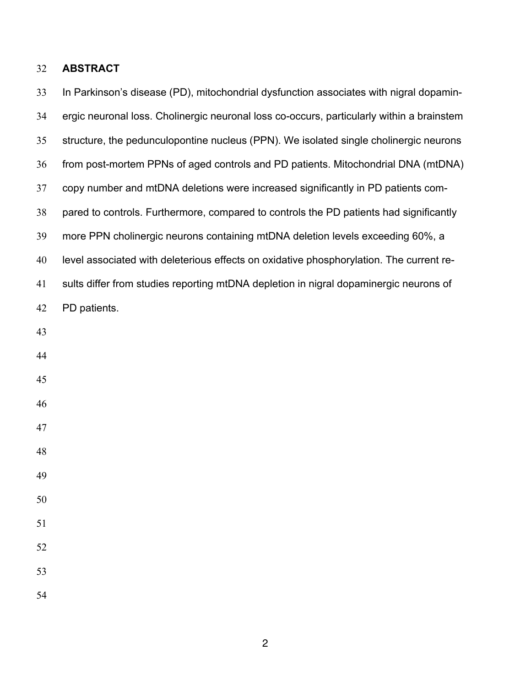# **ABSTRACT**

| 33 | In Parkinson's disease (PD), mitochondrial dysfunction associates with nigral dopamin-    |
|----|-------------------------------------------------------------------------------------------|
| 34 | ergic neuronal loss. Cholinergic neuronal loss co-occurs, particularly within a brainstem |
| 35 | structure, the pedunculopontine nucleus (PPN). We isolated single cholinergic neurons     |
| 36 | from post-mortem PPNs of aged controls and PD patients. Mitochondrial DNA (mtDNA)         |
| 37 | copy number and mtDNA deletions were increased significantly in PD patients com-          |
| 38 | pared to controls. Furthermore, compared to controls the PD patients had significantly    |
| 39 | more PPN cholinergic neurons containing mtDNA deletion levels exceeding 60%, a            |
| 40 | level associated with deleterious effects on oxidative phosphorylation. The current re-   |
| 41 | sults differ from studies reporting mtDNA depletion in nigral dopaminergic neurons of     |
| 42 | PD patients.                                                                              |
| 43 |                                                                                           |
| 44 |                                                                                           |
| 45 |                                                                                           |
| 46 |                                                                                           |
| 47 |                                                                                           |
| 48 |                                                                                           |
| 49 |                                                                                           |
| 50 |                                                                                           |
| 51 |                                                                                           |
| 52 |                                                                                           |
| 53 |                                                                                           |
| 54 |                                                                                           |
|    |                                                                                           |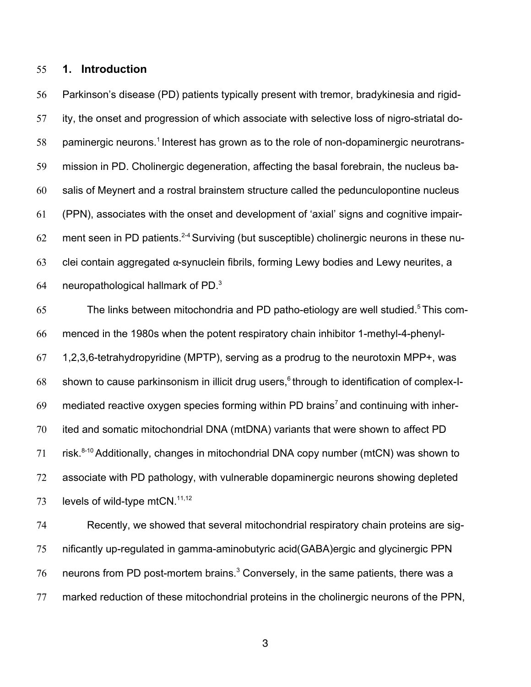# **1. Introduction**

 Parkinson's disease (PD) patients typically present with tremor, bradykinesia and rigid- ity, the onset and progression of which associate with selective loss of nigro-striatal do-58 paminergic neurons.<sup>1</sup> Interest has grown as to the role of non-dopaminergic neurotrans- mission in PD. Cholinergic degeneration, affecting the basal forebrain, the nucleus ba- salis of Meynert and a rostral brainstem structure called the pedunculopontine nucleus (PPN), associates with the onset and development of 'axial' signs and cognitive impair-62 ment seen in PD patients.<sup>2-4</sup> Surviving (but susceptible) cholinergic neurons in these nu-63 clei contain aggregated  $\alpha$ -synuclein fibrils, forming Lewy bodies and Lewy neurites, a 64 neuropathological hallmark of PD.

65 The links between mitochondria and PD patho-etiology are well studied.<sup>5</sup> This com- menced in the 1980s when the potent respiratory chain inhibitor 1-methyl-4-phenyl- 1,2,3,6-tetrahydropyridine (MPTP), serving as a prodrug to the neurotoxin MPP+, was 68 shown to cause parkinsonism in illicit drug users, through to identification of complex-I- mediated reactive oxygen species forming within PD brains<sup>7</sup> and continuing with inher- ited and somatic mitochondrial DNA (mtDNA) variants that were shown to affect PD 71 risk. $8-10$  Additionally, changes in mitochondrial DNA copy number (mtCN) was shown to associate with PD pathology, with vulnerable dopaminergic neurons showing depleted 73 levels of wild-type mtCN. $11,12$ 

 Recently, we showed that several mitochondrial respiratory chain proteins are sig- nificantly up-regulated in gamma-aminobutyric acid(GABA)ergic and glycinergic PPN neurons from PD post-mortem brains. $3$  Conversely, in the same patients, there was a marked reduction of these mitochondrial proteins in the cholinergic neurons of the PPN,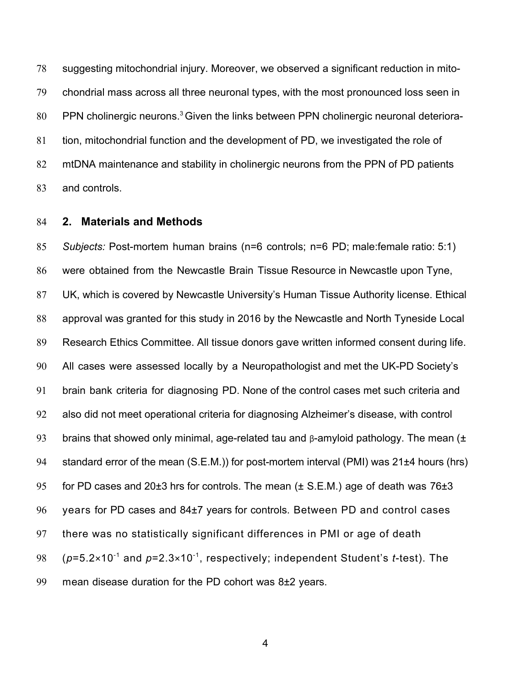suggesting mitochondrial injury. Moreover, we observed a significant reduction in mito- chondrial mass across all three neuronal types, with the most pronounced loss seen in 80 PPN cholinergic neurons.<sup>3</sup> Given the links between PPN cholinergic neuronal deteriora- tion, mitochondrial function and the development of PD, we investigated the role of mtDNA maintenance and stability in cholinergic neurons from the PPN of PD patients and controls.

## **2. Materials and Methods**

 *Subjects:* Post-mortem human brains (n=6 controls; n=6 PD; male:female ratio: 5:1) were obtained from the Newcastle Brain Tissue Resource in Newcastle upon Tyne, UK, which is covered by Newcastle University's Human Tissue Authority license. Ethical approval was granted for this study in 2016 by the Newcastle and North Tyneside Local Research Ethics Committee. All tissue donors gave written informed consent during life. All cases were assessed locally by a Neuropathologist and met the UK-PD Society's brain bank criteria for diagnosing PD. None of the control cases met such criteria and also did not meet operational criteria for diagnosing Alzheimer's disease, with control 93 brains that showed only minimal, age-related tau and  $\beta$ -amyloid pathology. The mean ( $\pm$  standard error of the mean (S.E.M.)) for post-mortem interval (PMI) was 21±4 hours (hrs) 95 for PD cases and 20 $\pm 3$  hrs for controls. The mean ( $\pm$  S.E.M.) age of death was 76 $\pm 3$  years for PD cases and 84±7 years for controls. Between PD and control cases there was no statistically significant differences in PMI or age of death  $(6.98)$  ( $p=5.2\times10^{-1}$  and  $p=2.3\times10^{-1}$ , respectively; independent Student's *t*-test). The mean disease duration for the PD cohort was 8±2 years.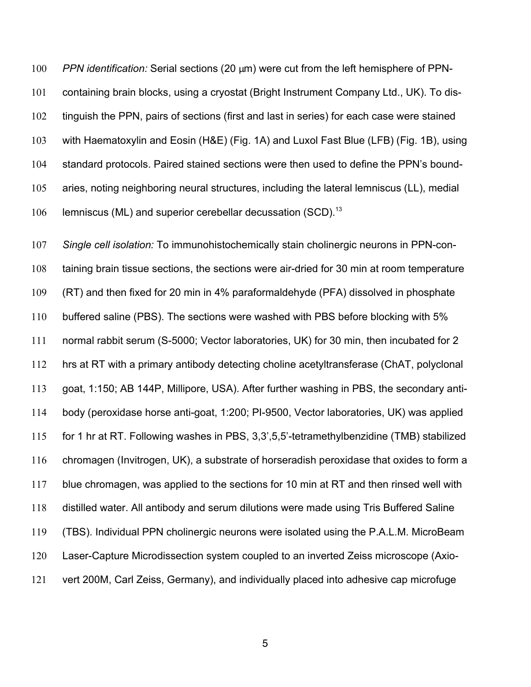*PPN identification:* Serial sections (20 μm) were cut from the left hemisphere of PPN- containing brain blocks, using a cryostat (Bright Instrument Company Ltd., UK). To dis- tinguish the PPN, pairs of sections (first and last in series) for each case were stained with Haematoxylin and Eosin (H&E) (Fig. 1A) and Luxol Fast Blue (LFB) (Fig. 1B), using standard protocols. Paired stained sections were then used to define the PPN's bound- aries, noting neighboring neural structures, including the lateral lemniscus (LL), medial 106 Iemniscus (ML) and superior cerebellar decussation (SCD). $^{13}$ 

 *Single cell isolation:* To immunohistochemically stain cholinergic neurons in PPN-con- taining brain tissue sections, the sections were air-dried for 30 min at room temperature (RT) and then fixed for 20 min in 4% paraformaldehyde (PFA) dissolved in phosphate buffered saline (PBS). The sections were washed with PBS before blocking with 5% normal rabbit serum (S-5000; Vector laboratories, UK) for 30 min, then incubated for 2 hrs at RT with a primary antibody detecting choline acetyltransferase (ChAT, polyclonal goat, 1:150; AB 144P, Millipore, USA). After further washing in PBS, the secondary anti- body (peroxidase horse anti-goat, 1:200; PI-9500, Vector laboratories, UK) was applied for 1 hr at RT. Following washes in PBS, 3,3',5,5'-tetramethylbenzidine (TMB) stabilized chromagen (Invitrogen, UK), a substrate of horseradish peroxidase that oxides to form a blue chromagen, was applied to the sections for 10 min at RT and then rinsed well with distilled water. All antibody and serum dilutions were made using Tris Buffered Saline (TBS). Individual PPN cholinergic neurons were isolated using the P.A.L.M. MicroBeam Laser-Capture Microdissection system coupled to an inverted Zeiss microscope (Axio-vert 200M, Carl Zeiss, Germany), and individually placed into adhesive cap microfuge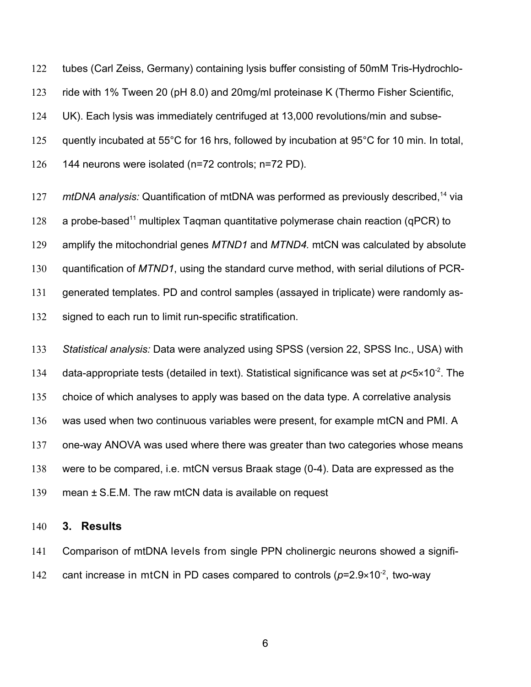tubes (Carl Zeiss, Germany) containing lysis buffer consisting of 50mM Tris-Hydrochlo-

ride with 1% Tween 20 (pH 8.0) and 20mg/ml proteinase K (Thermo Fisher Scientific,

UK). Each lysis was immediately centrifuged at 13,000 revolutions/min and subse-

quently incubated at 55°C for 16 hrs, followed by incubation at 95°C for 10 min. In total,

144 neurons were isolated (n=72 controls; n=72 PD).

127 mtDNA *analysis:* Quantification of mtDNA was performed as previously described,<sup>14</sup> via 128 a probe-based<sup>11</sup> multiplex Tagman quantitative polymerase chain reaction (qPCR) to amplify the mitochondrial genes *MTND1* and *MTND4.* mtCN was calculated by absolute quantification of *MTND1*, using the standard curve method, with serial dilutions of PCR- generated templates. PD and control samples (assayed in triplicate) were randomly as-signed to each run to limit run-specific stratification.

 *Statistical analysis:* Data were analyzed using SPSS (version 22, SPSS Inc., USA) with 134 data-appropriate tests (detailed in text). Statistical significance was set at  $p < 5 \times 10^{-2}$ . The choice of which analyses to apply was based on the data type. A correlative analysis was used when two continuous variables were present, for example mtCN and PMI. A one-way ANOVA was used where there was greater than two categories whose means were to be compared, i.e. mtCN versus Braak stage (0-4). Data are expressed as the mean ± S.E.M. The raw mtCN data is available on request

# **3. Results**

 Comparison of mtDNA levels from single PPN cholinergic neurons showed a signifi-142 cant increase in mtCN in PD cases compared to controls  $(p=2.9\times10^{-2}$ , two-way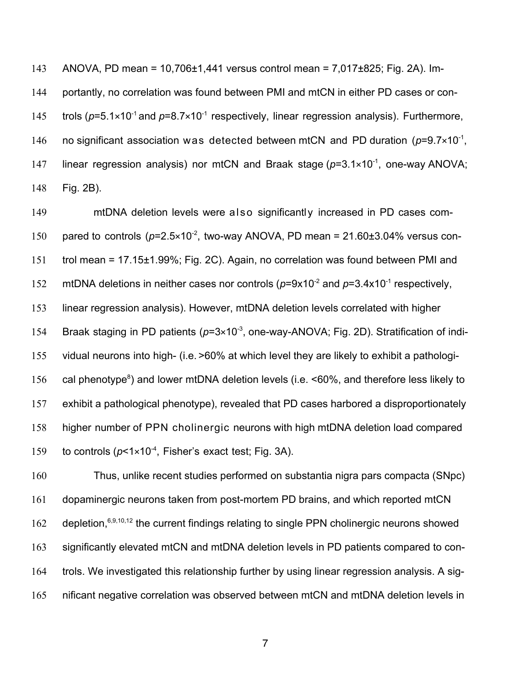ANOVA, PD mean = 10,706±1,441 versus control mean = 7,017±825; Fig. 2A). Im- portantly, no correlation was found between PMI and mtCN in either PD cases or con-145 trols ( $p=5.1\times10^{-1}$  and  $p=8.7\times10^{-1}$  respectively, linear regression analysis). Furthermore, 146 no significant association was detected between mtCN and PD duration  $(p=9.7\times10^{-1},$ 147 linear regression analysis) nor mtCN and Braak stage  $(p=3.1\times10^{-1})$ , one-way ANOVA; Fig. 2B).

 mtDNA deletion levels were also significantly increased in PD cases com-150 pared to controls  $(p=2.5\times10^{-2})$ , two-way ANOVA, PD mean = 21.60 $\pm$ 3.04% versus con- trol mean = 17.15±1.99%; Fig. 2C). Again, no correlation was found between PMI and 152 mtDNA deletions in neither cases nor controls  $(p=9x10^{-2}$  and  $p=3.4x10^{-1}$  respectively, linear regression analysis). However, mtDNA deletion levels correlated with higher 154 Braak staging in PD patients ( $p=3\times10^{-3}$ , one-way-ANOVA; Fig. 2D). Stratification of indi- vidual neurons into high- (i.e. >60% at which level they are likely to exhibit a pathologi-156 cal phenotype<sup>8</sup>) and lower mtDNA deletion levels (i.e.  $\leq 60\%$ , and therefore less likely to exhibit a pathological phenotype), revealed that PD cases harbored a disproportionately higher number of PPN cholinergic neurons with high mtDNA deletion load compared 159 to controls  $(p<1\times10^{-4})$ , Fisher's exact test; Fig. 3A).

 Thus, unlike recent studies performed on substantia nigra pars compacta (SNpc) dopaminergic neurons taken from post-mortem PD brains, and which reported mtCN 162 depletion,  $6,9,10,12$  the current findings relating to single PPN cholinergic neurons showed significantly elevated mtCN and mtDNA deletion levels in PD patients compared to con- trols. We investigated this relationship further by using linear regression analysis. A sig-nificant negative correlation was observed between mtCN and mtDNA deletion levels in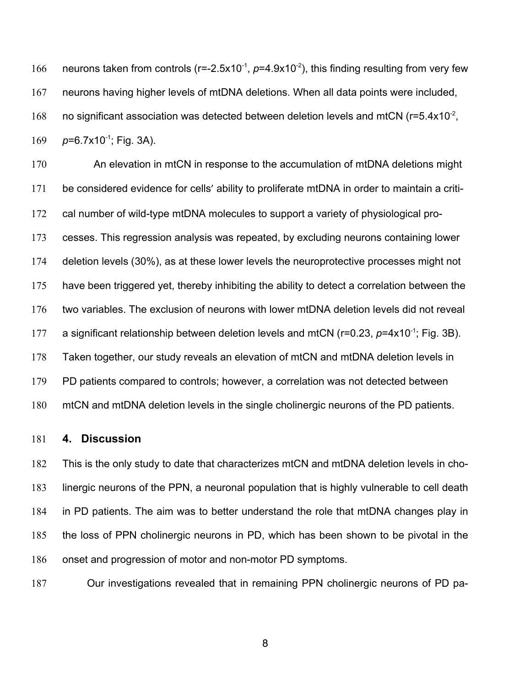166 neurons taken from controls ( $r=-2.5x10^{-1}$ ,  $p=4.9x10^{-2}$ ), this finding resulting from very few neurons having higher levels of mtDNA deletions. When all data points were included, 168 no significant association was detected between deletion levels and mtCN ( $r=5.4x10^{-2}$ , 169  $p=6.7x10^{-1}$ ; Fig. 3A).

 An elevation in mtCN in response to the accumulation of mtDNA deletions might be considered evidence for cells' ability to proliferate mtDNA in order to maintain a criti- cal number of wild-type mtDNA molecules to support a variety of physiological pro- cesses. This regression analysis was repeated, by excluding neurons containing lower deletion levels (30%), as at these lower levels the neuroprotective processes might not 175 have been triggered yet, thereby inhibiting the ability to detect a correlation between the two variables. The exclusion of neurons with lower mtDNA deletion levels did not reveal 177 a significant relationship between deletion levels and mtCN ( $r=0.23$ ,  $p=4\times10^{-1}$ ; Fig. 3B). Taken together, our study reveals an elevation of mtCN and mtDNA deletion levels in PD patients compared to controls; however, a correlation was not detected between mtCN and mtDNA deletion levels in the single cholinergic neurons of the PD patients.

#### **4. Discussion**

 This is the only study to date that characterizes mtCN and mtDNA deletion levels in cho- linergic neurons of the PPN, a neuronal population that is highly vulnerable to cell death in PD patients. The aim was to better understand the role that mtDNA changes play in the loss of PPN cholinergic neurons in PD, which has been shown to be pivotal in the onset and progression of motor and non-motor PD symptoms.

Our investigations revealed that in remaining PPN cholinergic neurons of PD pa-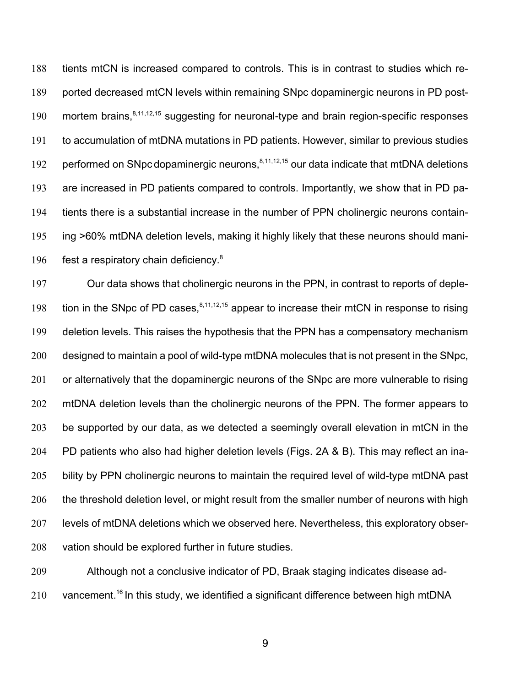tients mtCN is increased compared to controls. This is in contrast to studies which re- ported decreased mtCN levels within remaining SNpc dopaminergic neurons in PD post-190 mortem brains,<sup>8,11,12,15</sup> suggesting for neuronal-type and brain region-specific responses to accumulation of mtDNA mutations in PD patients. However, similar to previous studies 192 performed on SNpc dopaminergic neurons, $8,11,12,15$  our data indicate that mtDNA deletions are increased in PD patients compared to controls. Importantly, we show that in PD pa- tients there is a substantial increase in the number of PPN cholinergic neurons contain- ing >60% mtDNA deletion levels, making it highly likely that these neurons should mani-196 fest a respiratory chain deficiency.

 Our data shows that cholinergic neurons in the PPN, in contrast to reports of deple-198 tion in the SNpc of PD cases,  $8,11,12,15$  appear to increase their mtCN in response to rising deletion levels. This raises the hypothesis that the PPN has a compensatory mechanism 200 designed to maintain a pool of wild-type mtDNA molecules that is not present in the SNpc, 201 or alternatively that the dopaminergic neurons of the SNpc are more vulnerable to rising mtDNA deletion levels than the cholinergic neurons of the PPN. The former appears to 203 be supported by our data, as we detected a seemingly overall elevation in mtCN in the PD patients who also had higher deletion levels (Figs. 2A & B). This may reflect an ina-205 bility by PPN cholinergic neurons to maintain the required level of wild-type mtDNA past 206 the threshold deletion level, or might result from the smaller number of neurons with high levels of mtDNA deletions which we observed here. Nevertheless, this exploratory obser-vation should be explored further in future studies.

 Although not a conclusive indicator of PD, Braak staging indicates disease ad-210 vancement.<sup>16</sup> In this study, we identified a significant difference between high mtDNA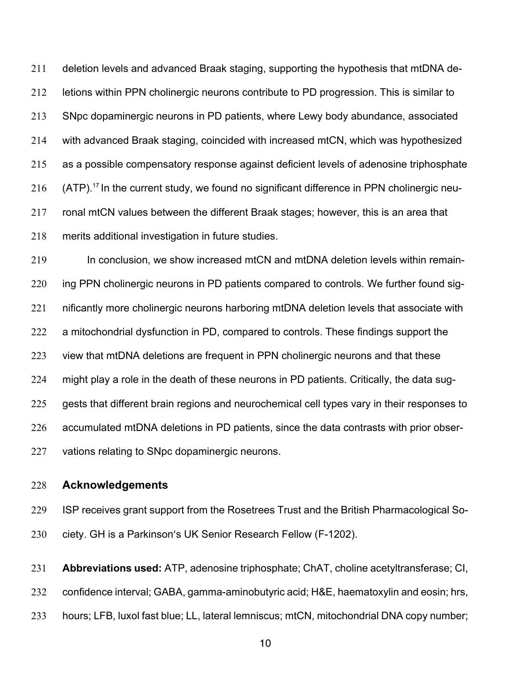deletion levels and advanced Braak staging, supporting the hypothesis that mtDNA de- letions within PPN cholinergic neurons contribute to PD progression. This is similar to SNpc dopaminergic neurons in PD patients, where Lewy body abundance, associated with advanced Braak staging, coincided with increased mtCN, which was hypothesized as a possible compensatory response against deficient levels of adenosine triphosphate  $\,($  ATP).<sup>17</sup> In the current study, we found no significant difference in PPN cholinergic neu- ronal mtCN values between the different Braak stages; however, this is an area that merits additional investigation in future studies.

 In conclusion, we show increased mtCN and mtDNA deletion levels within remain- ing PPN cholinergic neurons in PD patients compared to controls. We further found sig- nificantly more cholinergic neurons harboring mtDNA deletion levels that associate with a mitochondrial dysfunction in PD, compared to controls. These findings support the 223 view that mtDNA deletions are frequent in PPN cholinergic neurons and that these might play a role in the death of these neurons in PD patients. Critically, the data sug-225 gests that different brain regions and neurochemical cell types vary in their responses to accumulated mtDNA deletions in PD patients, since the data contrasts with prior obser-vations relating to SNpc dopaminergic neurons.

# **Acknowledgements**

 ISP receives grant support from the Rosetrees Trust and the British Pharmacological So-ciety. GH is a Parkinson's UK Senior Research Fellow (F-1202).

 **Abbreviations used:** ATP, adenosine triphosphate; ChAT, choline acetyltransferase; CI, confidence interval; GABA, gamma-aminobutyric acid; H&E, haematoxylin and eosin; hrs, hours; LFB, luxol fast blue; LL, lateral lemniscus; mtCN, mitochondrial DNA copy number;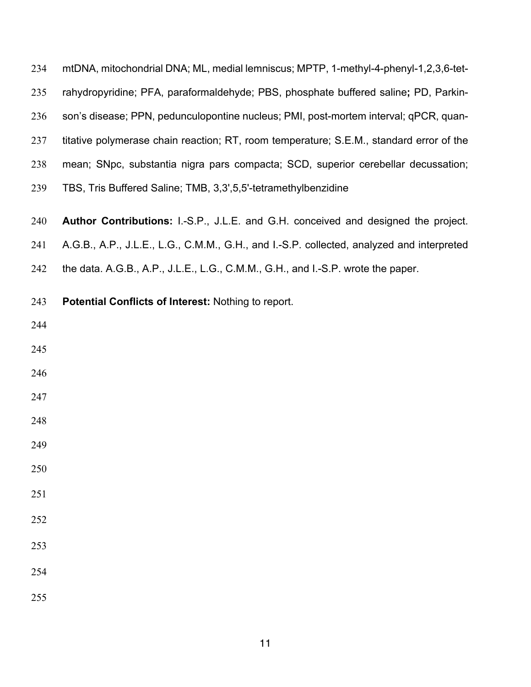| 234 | mtDNA, mitochondrial DNA; ML, medial lemniscus; MPTP, 1-methyl-4-phenyl-1,2,3,6-tet-      |
|-----|-------------------------------------------------------------------------------------------|
| 235 | rahydropyridine; PFA, paraformaldehyde; PBS, phosphate buffered saline; PD, Parkin-       |
| 236 | son's disease; PPN, pedunculopontine nucleus; PMI, post-mortem interval; qPCR, quan-      |
| 237 | titative polymerase chain reaction; RT, room temperature; S.E.M., standard error of the   |
| 238 | mean; SNpc, substantia nigra pars compacta; SCD, superior cerebellar decussation;         |
| 239 | TBS, Tris Buffered Saline; TMB, 3,3',5,5'-tetramethylbenzidine                            |
| 240 | Author Contributions: I.-S.P., J.L.E. and G.H. conceived and designed the project.        |
| 241 | A.G.B., A.P., J.L.E., L.G., C.M.M., G.H., and I.-S.P. collected, analyzed and interpreted |
| 242 | the data. A.G.B., A.P., J.L.E., L.G., C.M.M., G.H., and I.-S.P. wrote the paper.          |
| 243 | Potential Conflicts of Interest: Nothing to report.                                       |
| 244 |                                                                                           |
| 245 |                                                                                           |
| 246 |                                                                                           |
| 247 |                                                                                           |
| 248 |                                                                                           |
| 249 |                                                                                           |
| 250 |                                                                                           |
| 251 |                                                                                           |
| 252 |                                                                                           |
| 253 |                                                                                           |
| 254 |                                                                                           |
| 255 |                                                                                           |
|     |                                                                                           |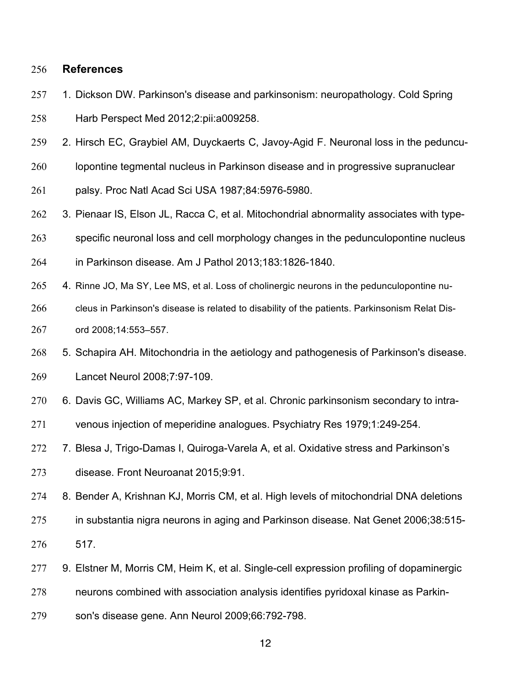## **References**

- 1. Dickson DW. Parkinson's disease and parkinsonism: neuropathology. Cold Spring Harb Perspect Med 2012;2:pii:a009258.
- 2. Hirsch EC, Graybiel AM, Duyckaerts C, Javoy-Agid F. Neuronal loss in the peduncu-
- lopontine tegmental nucleus in Parkinson disease and in progressive supranuclear
- palsy. Proc Natl Acad Sci USA 1987;84:5976-5980.
- 3. Pienaar IS, Elson JL, Racca C, et al. Mitochondrial abnormality associates with type-
- specific neuronal loss and cell morphology changes in the pedunculopontine nucleus
- in Parkinson disease. Am J Pathol 2013;183:1826-1840.
- 265 4. Rinne JO, Ma SY, Lee MS, et al. Loss of cholinergic neurons in the pedunculopontine nu-
- cleus in Parkinson's disease is related to disability of the patients. Parkinsonism Relat Dis-ord 2008;14:553–557.
- 5. Schapira AH. Mitochondria in the aetiology and pathogenesis of Parkinson's disease. Lancet Neurol 2008;7:97-109.
- 6. Davis GC, Williams AC, Markey SP, et al. Chronic parkinsonism secondary to intra-
- venous injection of meperidine analogues. Psychiatry Res 1979;1:249-254.
- 7. Blesa J, Trigo-Damas I, Quiroga-Varela A, et al. Oxidative stress and Parkinson's disease. Front Neuroanat 2015;9:91.
- 8. Bender A, Krishnan KJ, Morris CM, et al. High levels of mitochondrial DNA deletions
- in substantia nigra neurons in aging and Parkinson disease. Nat Genet 2006;38:515- 517.
- 277 9. Elstner M, Morris CM, Heim K, et al. Single-cell expression profiling of dopaminergic
- neurons combined with association analysis identifies pyridoxal kinase as Parkin-
- son's disease gene. Ann Neurol 2009;66:792-798.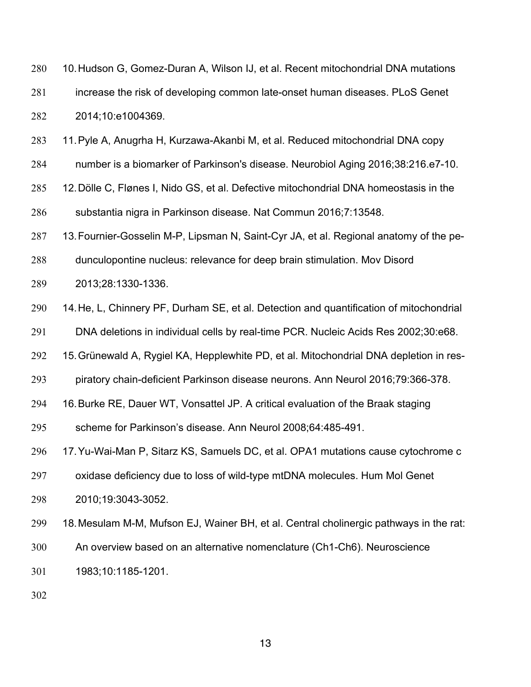| 280 | 10. Hudson G, Gomez-Duran A, Wilson IJ, et al. Recent mitochondrial DNA mutations |
|-----|-----------------------------------------------------------------------------------|
| 281 | increase the risk of developing common late-onset human diseases. PLoS Genet      |
| 282 | 2014;10:e1004369.                                                                 |

- 11.Pyle A, Anugrha H, Kurzawa-Akanbi M, et al. Reduced mitochondrial DNA copy
- number is a biomarker of Parkinson's disease. Neurobiol Aging 2016;38:216.e7-10.
- 12.Dölle C, Flønes I, Nido GS, et al. Defective mitochondrial DNA homeostasis in the substantia nigra in Parkinson disease. Nat Commun 2016;7:13548.
- 13.Fournier-Gosselin M-P, Lipsman N, Saint-Cyr JA, et al. Regional anatomy of the pe-
- dunculopontine nucleus: relevance for deep brain stimulation. Mov Disord
- 2013;28:1330-1336.
- 14.He, L, Chinnery PF, Durham SE, et al. Detection and quantification of mitochondrial
- DNA deletions in individual cells by real-time PCR. Nucleic Acids Res 2002;30:e68.
- 15.Grünewald A, Rygiel KA, Hepplewhite PD, et al. Mitochondrial DNA depletion in res-
- piratory chain-deficient Parkinson disease neurons. Ann Neurol 2016;79:366-378.
- 16.Burke RE, Dauer WT, Vonsattel JP. A critical evaluation of the Braak staging
- scheme for Parkinson's disease. Ann Neurol 2008;64:485-491.
- 17.Yu-Wai-Man P, Sitarz KS, Samuels DC, et al. OPA1 mutations cause cytochrome c
- oxidase deficiency due to loss of wild-type mtDNA molecules. Hum Mol Genet 2010;19:3043-3052.
- 18.Mesulam M-M, Mufson EJ, Wainer BH, et al. Central cholinergic pathways in the rat:
- An overview based on an alternative nomenclature (Ch1-Ch6). Neuroscience
- 1983;10:1185-1201.
-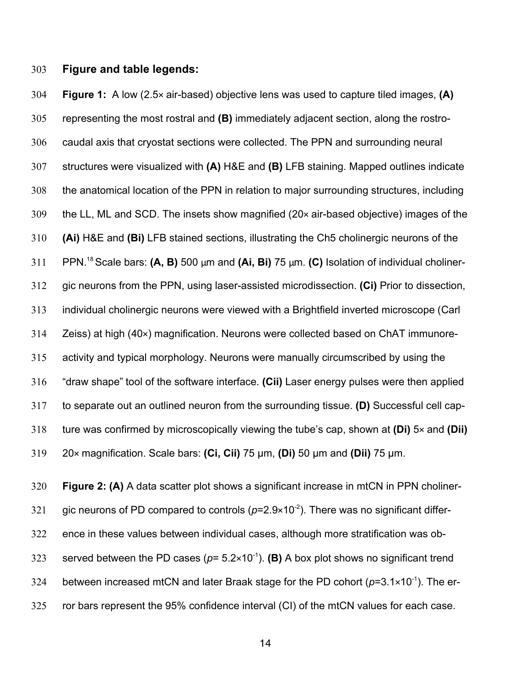## **Figure and table legends:**

 **Figure 1:** A low (2.5× air-based) objective lens was used to capture tiled images, **(A)** representing the most rostral and **(B)** immediately adjacent section, along the rostro- caudal axis that cryostat sections were collected. The PPN and surrounding neural structures were visualized with **(A)** H&E and **(B)** LFB staining. Mapped outlines indicate the anatomical location of the PPN in relation to major surrounding structures, including the LL, ML and SCD. The insets show magnified (20× air-based objective) images of the **(Ai)** H&E and **(Bi)** LFB stained sections, illustrating the Ch5 cholinergic neurons of the PPN.<sup>18</sup> Scale bars: **(A, B)** 500 μm and **(Ai, Bi)** 75 μm. **(C)** Isolation of individual choliner- gic neurons from the PPN, using laser-assisted microdissection. **(Ci)** Prior to dissection, individual cholinergic neurons were viewed with a Brightfield inverted microscope (Carl Zeiss) at high (40×) magnification. Neurons were collected based on ChAT immunore- activity and typical morphology. Neurons were manually circumscribed by using the "draw shape" tool of the software interface. **(Cii)** Laser energy pulses were then applied to separate out an outlined neuron from the surrounding tissue. **(D)** Successful cell cap- ture was confirmed by microscopically viewing the tube's cap, shown at **(Di)** 5× and **(Dii)** 20× magnification. Scale bars: **(Ci, Cii)** 75 µm, **(Di)** 50 µm and **(Dii)** 75 µm.

 **Figure 2: (A)** A data scatter plot shows a significant increase in mtCN in PPN choliner-321 gic neurons of PD compared to controls  $(p=2.9\times10^{-2})$ . There was no significant differ- ence in these values between individual cases, although more stratification was observed between the PD cases ( $p=5.2\times10^{-1}$ ). **(B)** A box plot shows no significant trend 324 between increased mtCN and later Braak stage for the PD cohort  $(p=3.1\times10^{-1})$ . The er-ror bars represent the 95% confidence interval (CI) of the mtCN values for each case.